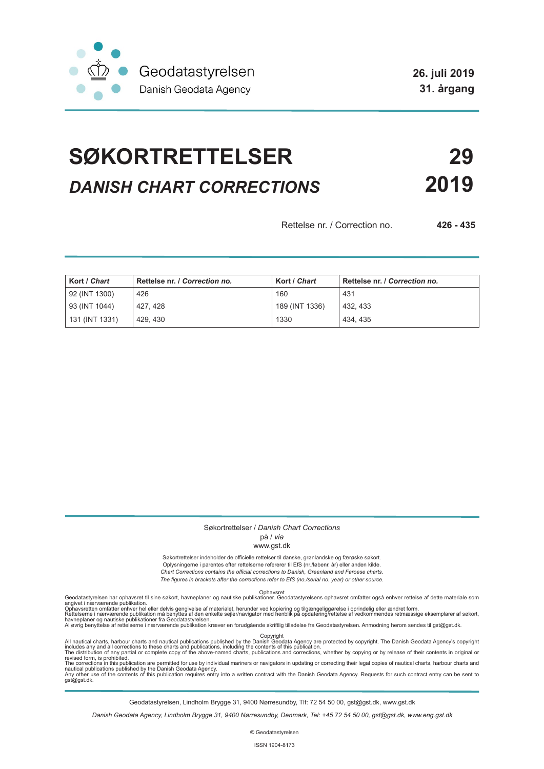

# **SØKORTRETTELSER 29** *DANISH CHART CORRECTIONS* **2019**

Rettelse nr. / Correction no. **426 - 435**

| Kort / Chart   | Rettelse nr. / Correction no. | Kort / Chart   | Rettelse nr. / Correction no. |
|----------------|-------------------------------|----------------|-------------------------------|
| 92 (INT 1300)  | 426                           | 160            | 431                           |
| 93 (INT 1044)  | 427, 428                      | 189 (INT 1336) | 432, 433                      |
| 131 (INT 1331) | 429, 430                      | 1330           | 434.435                       |

### Søkortrettelser / *Danish Chart Corrections*

# på / *via*

#### www.gst.dk

Søkortrettelser indeholder de officielle rettelser til danske, grønlandske og færøske søkort. Oplysningerne i parentes efter rettelserne refererer til EfS (nr./løbenr. år) eller anden kilde. *Chart Corrections contains the official corrections to Danish, Greenland and Faroese charts. The figures in brackets after the corrections refer to EfS (no./serial no. year) or other source.*

Ophavsret Geodatastyrelsen har ophavsret til sine søkort, havneplaner og nautiske publikationer. Geodatastyrelsens ophavsret omfatter også enhver rettelse af dette materiale som

angivet i nærværende publikation.<br>Ophavsretten omfatter enhver hel eller delvis gengivelse af materialet, herunder ved kopiering og tilgængeliggørelse i oprindelig eller ændret form.<br>Rettelserne i nærværende publikation må

All nautical charts, harbour charts and nautical publications published by the Dopyright<br>includes any and all corrections to these charts and publications, including the contents of this publication.<br>The distribution of an

Geodatastyrelsen, Lindholm Brygge 31, 9400 Nørresundby, Tlf: 72 54 50 00, gst@gst.dk, www.gst.dk

*Danish Geodata Agency, Lindholm Brygge 31, 9400 Nørresundby, Denmark, Tel: +45 72 54 50 00, gst@gst.dk, www.eng.gst.dk*

© Geodatastyrelsen

ISSN 1904-8173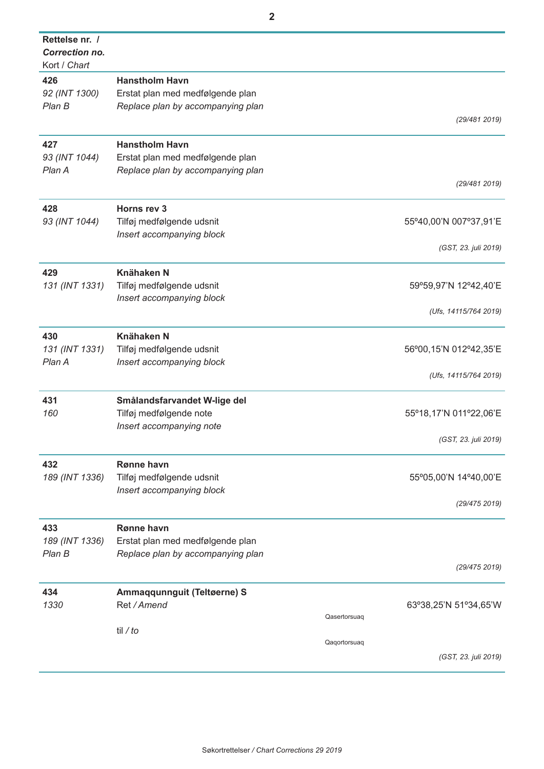| Rettelse nr. /<br><b>Correction no.</b><br>Kort / Chart |                                                                                                |                                       |
|---------------------------------------------------------|------------------------------------------------------------------------------------------------|---------------------------------------|
| 426<br>92 (INT 1300)<br>Plan B                          | <b>Hanstholm Havn</b><br>Erstat plan med medfølgende plan<br>Replace plan by accompanying plan |                                       |
|                                                         |                                                                                                | (29/4812019)                          |
| 427<br>93 (INT 1044)<br>Plan A                          | <b>Hanstholm Havn</b><br>Erstat plan med medfølgende plan<br>Replace plan by accompanying plan |                                       |
|                                                         |                                                                                                | (29/4812019)                          |
| 428<br>93 (INT 1044)                                    | Horns rev 3<br>Tilføj medfølgende udsnit                                                       | 55°40,00'N 007°37,91'E                |
|                                                         | Insert accompanying block                                                                      | (GST, 23. juli 2019)                  |
| 429<br>131 (INT 1331)                                   | <b>Knähaken N</b><br>Tilføj medfølgende udsnit                                                 | 59°59,97'N 12°42,40'E                 |
|                                                         | Insert accompanying block                                                                      | (Ufs, 14115/764 2019)                 |
| 430<br>131 (INT 1331)                                   | <b>Knähaken N</b><br>Tilføj medfølgende udsnit                                                 | 56°00,15'N 012°42,35'E                |
| Plan A                                                  | Insert accompanying block                                                                      | (Ufs, 14115/764 2019)                 |
| 431<br>160                                              | Smålandsfarvandet W-lige del<br>Tilføj medfølgende note                                        | 55°18,17'N 011°22,06'E                |
|                                                         | Insert accompanying note                                                                       | (GST, 23. juli 2019)                  |
| 432<br>189 (INT 1336)                                   | Rønne havn<br>Tilføj medfølgende udsnit<br>Insert accompanying block                           | 55°05,00'N 14°40,00'E                 |
|                                                         |                                                                                                | (29/475 2019)                         |
| 433<br>189 (INT 1336)<br>Plan B                         | Rønne havn<br>Erstat plan med medfølgende plan<br>Replace plan by accompanying plan            |                                       |
|                                                         |                                                                                                | (29/475 2019)                         |
| 434<br>1330                                             | Ammaqqunnguit (Teltøerne) S<br>Ret / Amend                                                     | 63°38,25'N 51°34,65'W<br>Qasertorsuaq |
|                                                         | til / $to$                                                                                     |                                       |
|                                                         |                                                                                                | Qaqortorsuaq<br>(GST, 23. juli 2019)  |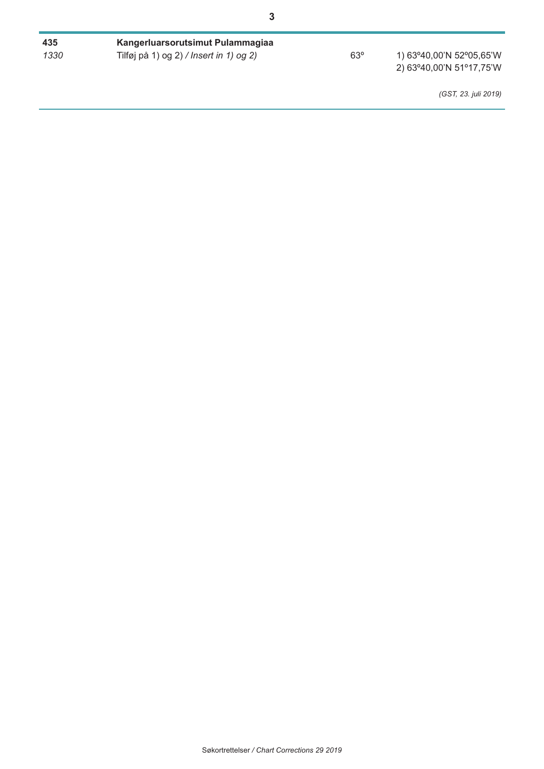| 435  | Kangerluarsorutsimut Pulammagiaa        |     |                                                      |
|------|-----------------------------------------|-----|------------------------------------------------------|
| 1330 | Tilføj på 1) og 2) / Insert in 1) og 2) | 63° | 1) 63°40,00'N 52°05,65'W<br>2) 63°40,00'N 51°17,75'W |
|      |                                         |     | (GST, 23. juli 2019)                                 |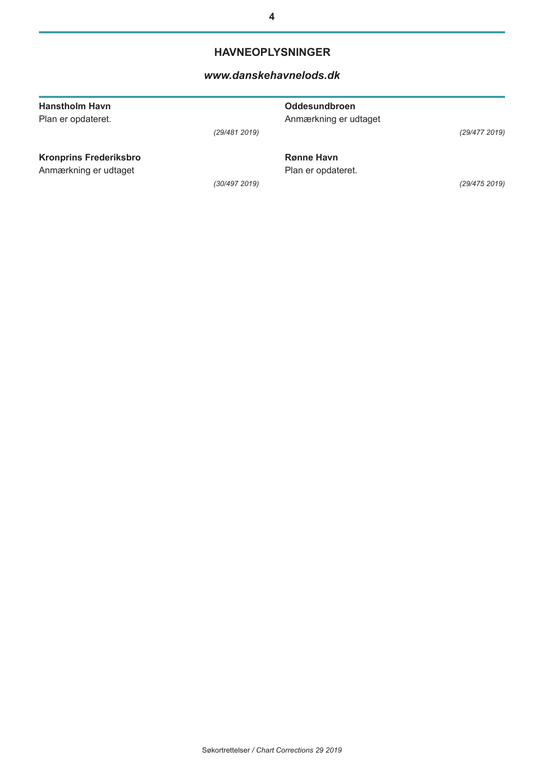# **HAVNEOPLYSNINGER**

## *[www.danskehavnelods.dk](http://www.danskehavnelods.dk/)*

| <b>Hanstholm Havn</b><br>Plan er opdateret. |               | <b>Oddesundbroen</b><br>Anmærkning er udtaget |               |
|---------------------------------------------|---------------|-----------------------------------------------|---------------|
|                                             | (29/481 2019) |                                               | (29/477 2019) |
| <b>Kronprins Frederiksbro</b>               |               | <b>Rønne Havn</b>                             |               |
| Anmærkning er udtaget                       |               | Plan er opdateret.                            |               |
|                                             | (30/497 2019) |                                               | (29/475 2019) |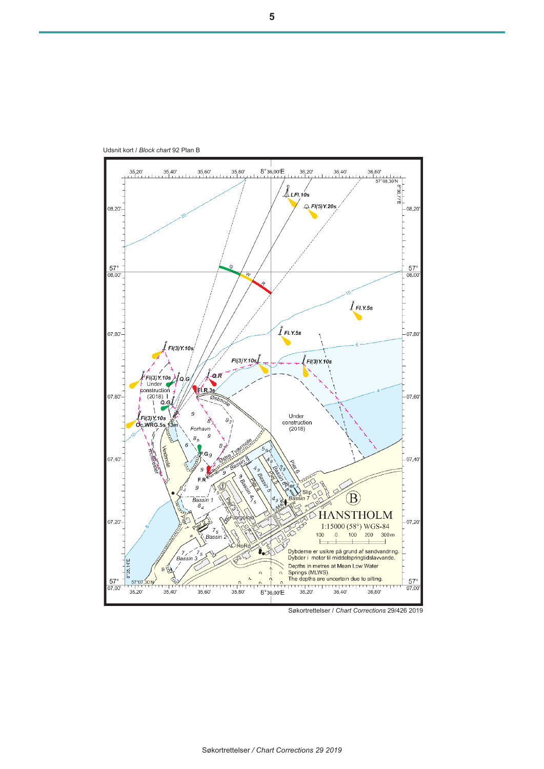

Søkortrettelser / *Chart Corrections* 29/426 2019

Udsnit kort / *Block chart* 92 Plan B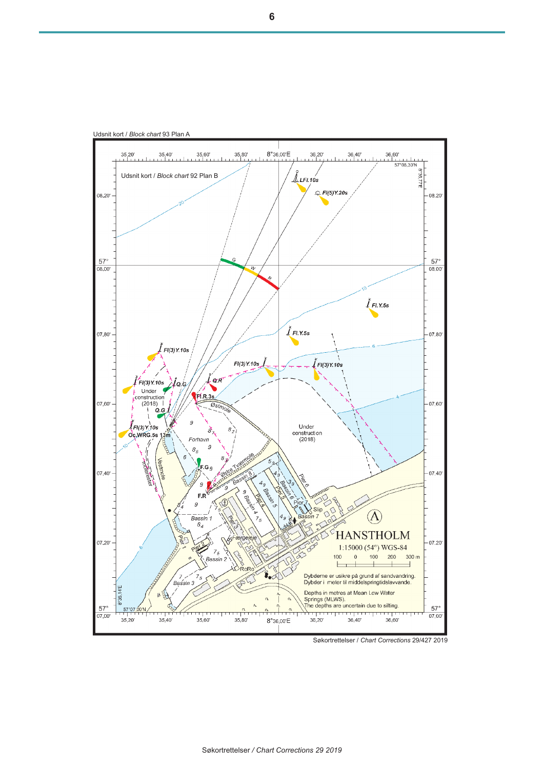

Søkortrettelser */ Chart Corrections 29 2019*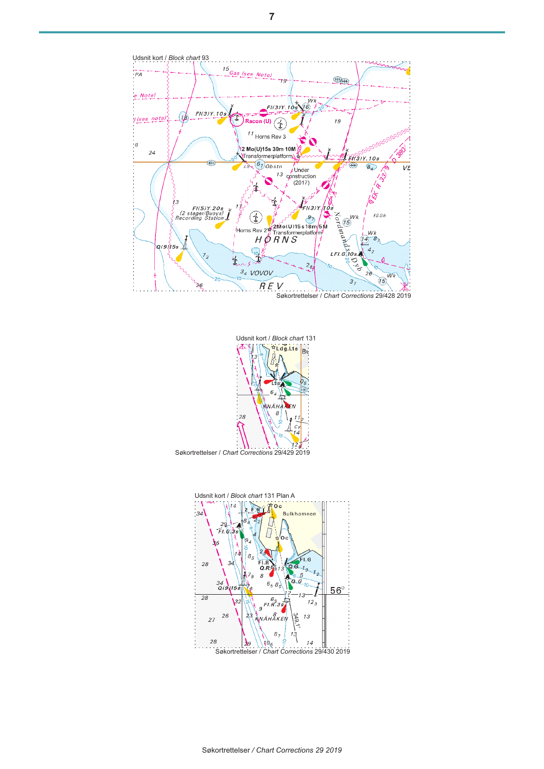

Søkortrettelser / *Chart Corrections* 29/428 2019



Søkortrettelser / *Chart Corrections* 29/429 2019

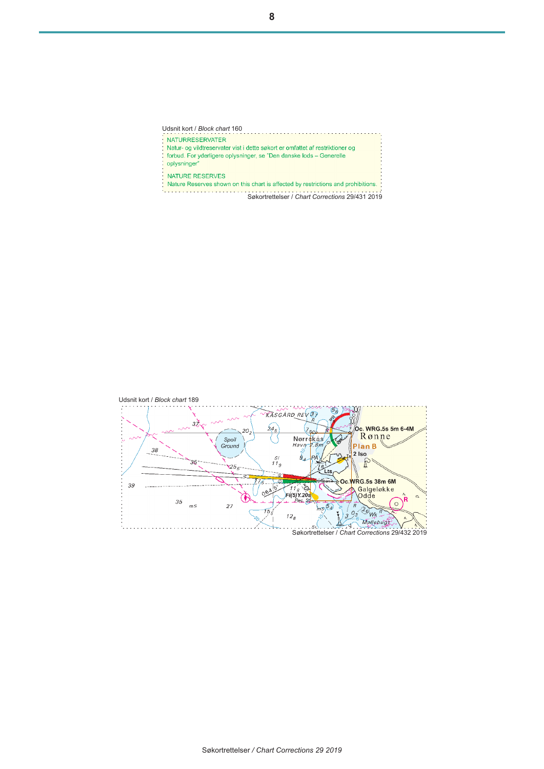**NATURRESERVATER** in Natur- og vildtreservater vist i dette søkort er omfattet af restriktioner og<br>forbud. For yderligere oplysninger, se "Den danske lods – Generelle oplysninger" NATURE RESERVES Nature Reserves shown on this chart is affected by restrictions and prohibitions.

Søkortrettelser / *Chart Corrections* 29/431 2019

Udsnit kort / *Block chart* 160

**8**

Udsnit kort / *Block chart* 189 2 .YY KASGARD REV 37  $\overrightarrow{32}$  $24_{5}$ 。<br>Oc. WRG.5s 5m 6-4M (7<sub>85)</sub> 20 Rønne Nørrekås Spoil<br>Ground ł  $Havn-2.8n$ Plan<sub>B</sub> 38  $2$  Iso  $\overline{\mathcal{L}}_A$  $\overline{S}$ l PÅ 35 ₽  $11<sub>9</sub>$  $25<sub>5</sub>$ ŬВ  $It:$ Oc WRG.5s 38m 6M 39  $-716$ 叉 Galgeløkke<br>Odde k  $064$  $\Omega$ ъ **R** 35  $Rec.$  St.  $\circ$  $\overline{27}$  $\bar{\tilde{\kappa}}$  $m<sup>S</sup>$  $\frac{5}{2}$  $\frac{B}{\rho_3}$   $\frac{26}{Wk}$  $75$  $\sum_{i=1}^{n}$  $\imath\mathstrut z_{\scriptscriptstyle{\mathcal{B}}}$  $\frac{3}{2}$ Mollebugg

 $\sqrt{2}$ .si Søkortrettelser / *Chart Corrections* 29/432 2019